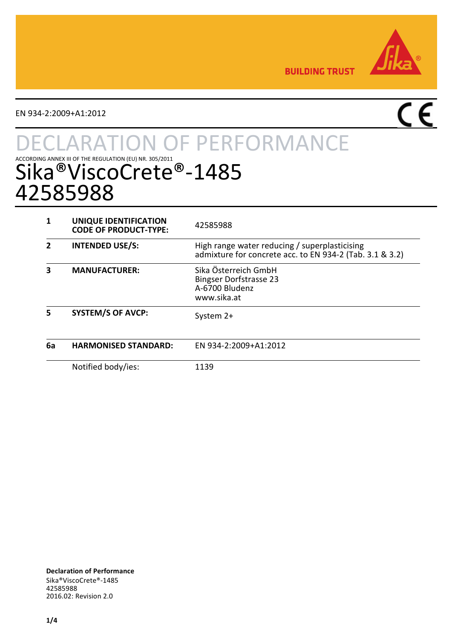

**BUILDING TRUST** 

EN 934-2:2009+A1:2012

# $\overline{C}$

# **TON OF PERFORMANCE** ACCORDING ANNEX III OF THE REGULATION (EU) NR. 305/2011  $\bullet$  - 1485 42585988

|    | UNIQUE IDENTIFICATION<br><b>CODE OF PRODUCT-TYPE:</b> | 42585988                                                                                                  |
|----|-------------------------------------------------------|-----------------------------------------------------------------------------------------------------------|
|    | <b>INTENDED USE/S:</b>                                | High range water reducing / superplasticising<br>admixture for concrete acc. to EN 934-2 (Tab. 3.1 & 3.2) |
| 3  | <b>MANUFACTURER:</b>                                  | Sika Österreich GmbH<br><b>Bingser Dorfstrasse 23</b><br>A-6700 Bludenz<br>www.sika.at                    |
|    | <b>SYSTEM/S OF AVCP:</b>                              | System 2+                                                                                                 |
| 6а | <b>HARMONISED STANDARD:</b>                           | FN 934-2:2009+A1:2012                                                                                     |
|    | Notified body/ies:                                    | 1139                                                                                                      |

**Declaration of Performance** Sika®ViscoCrete®-1485 42585988 2016.02: Revision 2.0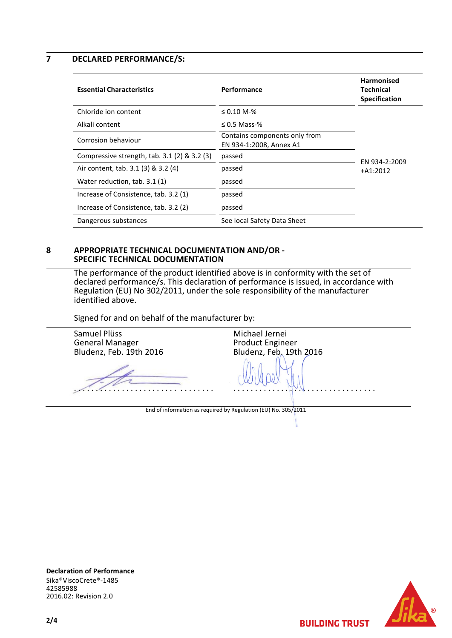**7 DECLARED PERFORMANCE/S:**

| <b>Essential Characteristics</b>                | Performance                                              | <b>Harmonised</b><br>Technical<br><b>Specification</b> |
|-------------------------------------------------|----------------------------------------------------------|--------------------------------------------------------|
| Chloride ion content                            | $\leq 0.10$ M-%                                          |                                                        |
| Alkali content                                  | $\leq$ 0.5 Mass-%                                        |                                                        |
| Corrosion behaviour                             | Contains components only from<br>EN 934-1:2008, Annex A1 |                                                        |
| Compressive strength, $tab. 3.1 (2) \& 3.2 (3)$ | passed                                                   | EN 934-2:2009                                          |
| Air content, tab. 3.1 (3) & 3.2 (4)             | passed                                                   | $+A1:2012$                                             |
| Water reduction, tab. 3.1 (1)                   | passed                                                   |                                                        |
| Increase of Consistence, tab. 3.2 (1)           | passed                                                   |                                                        |
| Increase of Consistence, tab. 3.2 (2)           | passed                                                   |                                                        |
| Dangerous substances                            | See local Safety Data Sheet                              |                                                        |

#### **8 APPROPRIATE TECHNICAL DOCUMENTATION AND/OR - SPECIFIC TECHNICAL DOCUMENTATION**

The performance of the product identified above is in conformity with the set of declared performance/s. This declaration of performance is issued, in accordance with Regulation (EU) No 302/2011, under the sole responsibility of the manufacturer identified above.

Signed for and on behalf of the manufacturer by:

Samuel Plüss General Manager Bludenz, Feb. 19th 2016 . . . . . . . . . . . . . . . . . . . . . . . . . . . . . . . . Michael Jernei Product Engineer Bludenz, Feb. 19th 2016 . . . . . . . . . . . . . . . . . . . . . . . . . . . . . . . . . End of information as required by Regulation (EU) No. 305/2011





**BUILDING TRUST**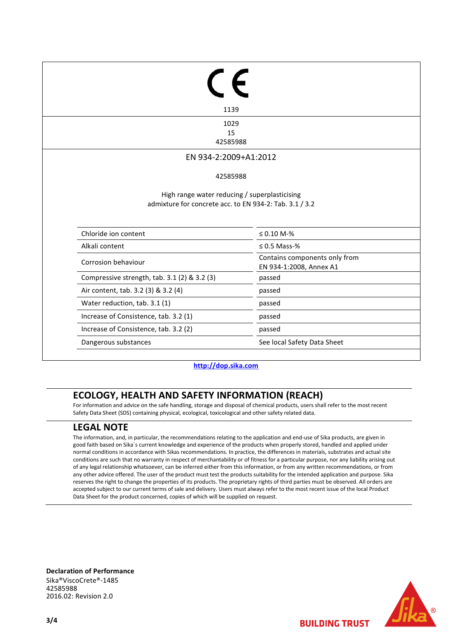| 1139                                                    |                                                          |
|---------------------------------------------------------|----------------------------------------------------------|
| 1029                                                    |                                                          |
| 15<br>42585988                                          |                                                          |
|                                                         |                                                          |
| EN 934-2:2009+A1:2012                                   |                                                          |
| 42585988                                                |                                                          |
|                                                         |                                                          |
| admixture for concrete acc. to EN 934-2: Tab. 3.1 / 3.2 | High range water reducing / superplasticising            |
| Chloride ion content                                    | $≤ 0.10 M-%$                                             |
| Alkali content                                          | $\leq$ 0.5 Mass-%                                        |
| Corrosion behaviour                                     | Contains components only from<br>EN 934-1:2008, Annex A1 |
| Compressive strength, tab. 3.1 (2) & 3.2 (3)            | passed                                                   |
| Air content, tab. 3.2 (3) & 3.2 (4)                     | passed                                                   |
| Water reduction, tab. 3.1 (1)                           | passed                                                   |
| Increase of Consistence, tab. 3.2 (1)                   | passed                                                   |
| Increase of Consistence, tab. 3.2 (2)                   | passed                                                   |

**[http://dop.sika.com](http://dop.sika.com/)**

## **ECOLOGY, HEALTH AND SAFETY INFORMATION (REACH)**

For information and advice on the safe handling, storage and disposal of chemical products, users shall refer to the most recent Safety Data Sheet (SDS) containing physical, ecological, toxicological and other safety related data.

### **LEGAL NOTE**

The information, and, in particular, the recommendations relating to the application and end-use of Sika products, are given in good faith based on Sika´s current knowledge and experience of the products when properly stored, handled and applied under normal conditions in accordance with Sikas recommendations. In practice, the differences in materials, substrates and actual site conditions are such that no warranty in respect of merchantability or of fitness for a particular purpose, nor any liability arising out of any legal relationship whatsoever, can be inferred either from this information, or from any written recommendations, or from any other advice offered. The user of the product must test the products suitability for the intended application and purpose. Sika reserves the right to change the properties of its products. The proprietary rights of third parties must be observed. All orders are accepted subject to our current terms of sale and delivery. Users must always refer to the most recent issue of the local Product Data Sheet for the product concerned, copies of which will be supplied on request.

**Declaration of Performance** Sika®ViscoCrete®-1485 42585988 2016.02: Revision 2.0